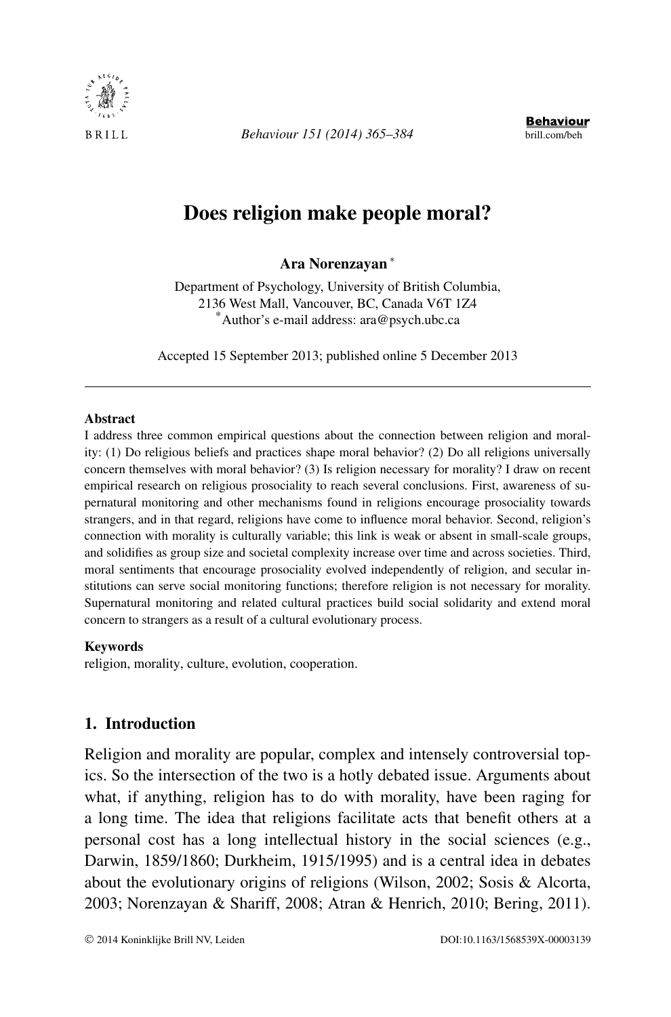

*Behaviour 151 (2014) 365–384* brill.com/beh

# **Does religion make people moral?**

### **Ara Norenzayan** <sup>∗</sup>

Department of Psychology, University of British Columbia,  $*$ Author's e-mail address: ara@psych.ubc.ca

Accepted 15 September 2013; published online 5 December 2013

### **Abstract**

I address three common empirical questions about the connection between religion and morality: (1) Do religious beliefs and practices shape moral behavior? (2) Do all religions universally concern themselves with moral behavior? (3) Is religion necessary for morality? I draw on recent empirical research on religious prosociality to reach several conclusions. First, awareness of supernatural monitoring and other mechanisms found in religions encourage prosociality towards strangers, and in that regard, religions have come to influence moral behavior. Second, religion's connection with morality is culturally variable; this link is weak or absent in small-scale groups, and solidifies as group size and societal complexity increase over time and across societies. Third, moral sentiments that encourage prosociality evolved independently of religion, and secular institutions can serve social monitoring functions; therefore religion is not necessary for morality. Supernatural monitoring and related cultural practices build social solidarity and extend moral concern to strangers as a result of a cultural evolutionary process.

#### **Keywords**

religion, morality, culture, evolution, cooperation.

### **1. Introduction**

Religion and morality are popular, complex and intensely controversial topics. So the intersection of the two is a hotly debated issue. Arguments about what, if anything, religion has to do with morality, have been raging for a long time. The idea that religions facilitate acts that benefit others at a personal cost has a long intellectual history in the social sciences (e.g., Darwin, 1859/1860; Durkheim, 1915/1995) and is a central idea in debates about the evolutionary origins of religions (Wilson, 2002; Sosis & Alcorta, 2003; Norenzayan & Shariff, 2008; Atran & Henrich, 2010; Bering, 2011).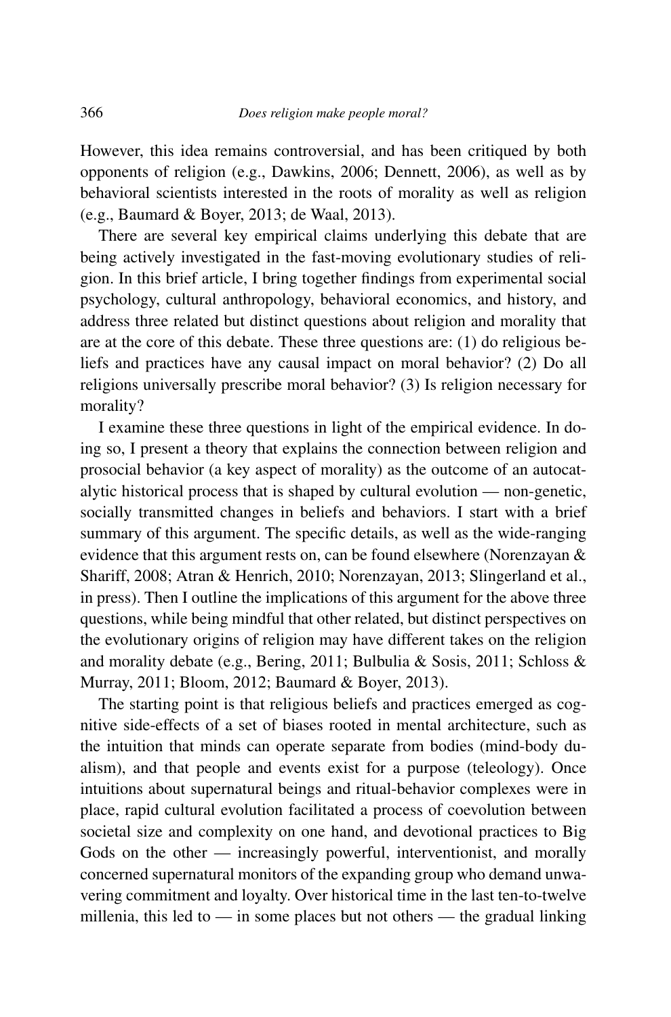However, this idea remains controversial, and has been critiqued by both opponents of religion (e.g., Dawkins, 2006; Dennett, 2006), as well as by behavioral scientists interested in the roots of morality as well as religion (e.g., Baumard & Boyer, 2013; de Waal, 2013).

There are several key empirical claims underlying this debate that are being actively investigated in the fast-moving evolutionary studies of religion. In this brief article, I bring together findings from experimental social psychology, cultural anthropology, behavioral economics, and history, and address three related but distinct questions about religion and morality that are at the core of this debate. These three questions are: (1) do religious beliefs and practices have any causal impact on moral behavior? (2) Do all religions universally prescribe moral behavior? (3) Is religion necessary for morality?

I examine these three questions in light of the empirical evidence. In doing so, I present a theory that explains the connection between religion and prosocial behavior (a key aspect of morality) as the outcome of an autocatalytic historical process that is shaped by cultural evolution — non-genetic, socially transmitted changes in beliefs and behaviors. I start with a brief summary of this argument. The specific details, as well as the wide-ranging evidence that this argument rests on, can be found elsewhere (Norenzayan & Shariff, 2008; Atran & Henrich, 2010; Norenzayan, 2013; Slingerland et al., in press). Then I outline the implications of this argument for the above three questions, while being mindful that other related, but distinct perspectives on the evolutionary origins of religion may have different takes on the religion and morality debate (e.g., Bering, 2011; Bulbulia & Sosis, 2011; Schloss & Murray, 2011; Bloom, 2012; Baumard & Boyer, 2013).

The starting point is that religious beliefs and practices emerged as cognitive side-effects of a set of biases rooted in mental architecture, such as the intuition that minds can operate separate from bodies (mind-body dualism), and that people and events exist for a purpose (teleology). Once intuitions about supernatural beings and ritual-behavior complexes were in place, rapid cultural evolution facilitated a process of coevolution between societal size and complexity on one hand, and devotional practices to Big Gods on the other — increasingly powerful, interventionist, and morally concerned supernatural monitors of the expanding group who demand unwavering commitment and loyalty. Over historical time in the last ten-to-twelve millenia, this led to — in some places but not others — the gradual linking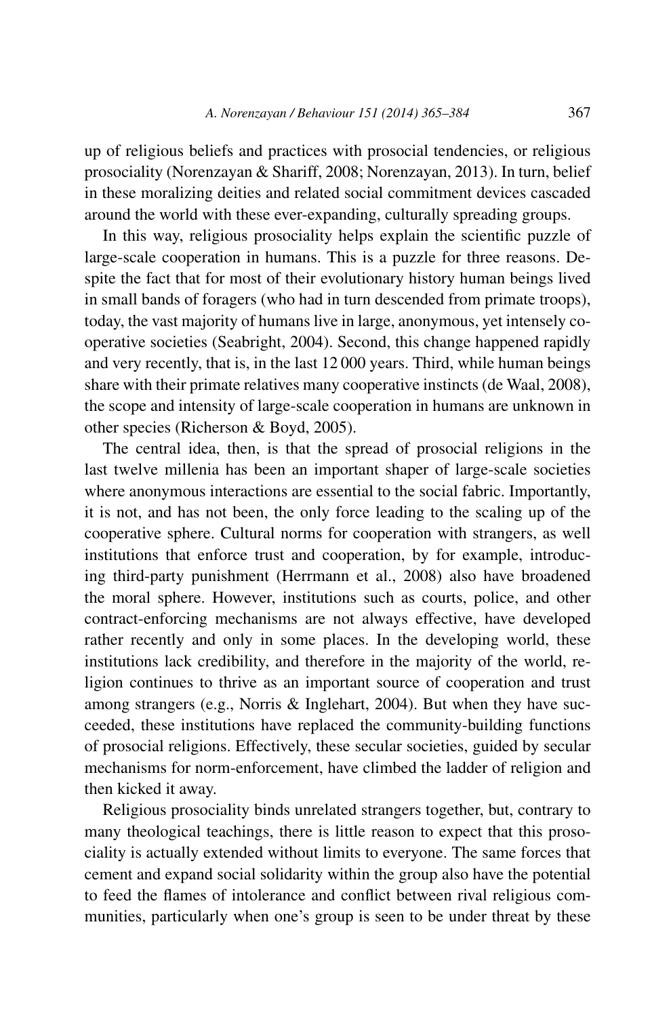up of religious beliefs and practices with prosocial tendencies, or religious prosociality (Norenzayan & Shariff, 2008; Norenzayan, 2013). In turn, belief in these moralizing deities and related social commitment devices cascaded around the world with these ever-expanding, culturally spreading groups.

In this way, religious prosociality helps explain the scientific puzzle of large-scale cooperation in humans. This is a puzzle for three reasons. Despite the fact that for most of their evolutionary history human beings lived in small bands of foragers (who had in turn descended from primate troops), today, the vast majority of humans live in large, anonymous, yet intensely cooperative societies (Seabright, 2004). Second, this change happened rapidly and very recently, that is, in the last 12 000 years. Third, while human beings share with their primate relatives many cooperative instincts (de Waal, 2008), the scope and intensity of large-scale cooperation in humans are unknown in other species (Richerson & Boyd, 2005).

The central idea, then, is that the spread of prosocial religions in the last twelve millenia has been an important shaper of large-scale societies where anonymous interactions are essential to the social fabric. Importantly, it is not, and has not been, the only force leading to the scaling up of the cooperative sphere. Cultural norms for cooperation with strangers, as well institutions that enforce trust and cooperation, by for example, introducing third-party punishment (Herrmann et al., 2008) also have broadened the moral sphere. However, institutions such as courts, police, and other contract-enforcing mechanisms are not always effective, have developed rather recently and only in some places. In the developing world, these institutions lack credibility, and therefore in the majority of the world, religion continues to thrive as an important source of cooperation and trust among strangers (e.g., Norris & Inglehart, 2004). But when they have succeeded, these institutions have replaced the community-building functions of prosocial religions. Effectively, these secular societies, guided by secular mechanisms for norm-enforcement, have climbed the ladder of religion and then kicked it away.

Religious prosociality binds unrelated strangers together, but, contrary to many theological teachings, there is little reason to expect that this prosociality is actually extended without limits to everyone. The same forces that cement and expand social solidarity within the group also have the potential to feed the flames of intolerance and conflict between rival religious communities, particularly when one's group is seen to be under threat by these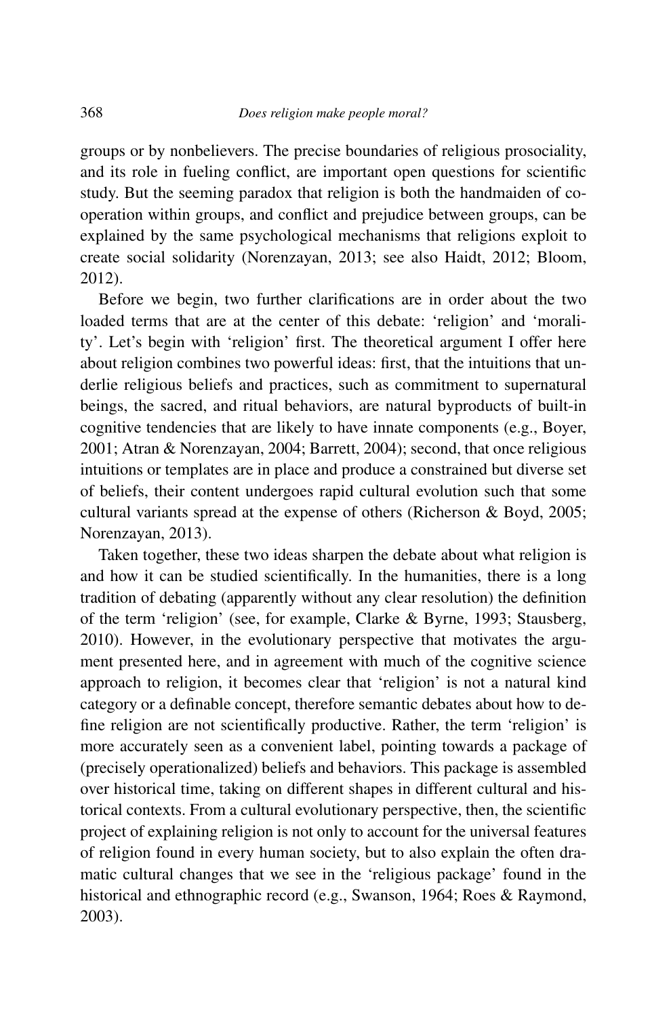groups or by nonbelievers. The precise boundaries of religious prosociality, and its role in fueling conflict, are important open questions for scientific study. But the seeming paradox that religion is both the handmaiden of cooperation within groups, and conflict and prejudice between groups, can be explained by the same psychological mechanisms that religions exploit to create social solidarity (Norenzayan, 2013; see also Haidt, 2012; Bloom, 2012).

Before we begin, two further clarifications are in order about the two loaded terms that are at the center of this debate: 'religion' and 'morality'. Let's begin with 'religion' first. The theoretical argument I offer here about religion combines two powerful ideas: first, that the intuitions that underlie religious beliefs and practices, such as commitment to supernatural beings, the sacred, and ritual behaviors, are natural byproducts of built-in cognitive tendencies that are likely to have innate components (e.g., Boyer, 2001; Atran & Norenzayan, 2004; Barrett, 2004); second, that once religious intuitions or templates are in place and produce a constrained but diverse set of beliefs, their content undergoes rapid cultural evolution such that some cultural variants spread at the expense of others (Richerson & Boyd, 2005; Norenzayan, 2013).

Taken together, these two ideas sharpen the debate about what religion is and how it can be studied scientifically. In the humanities, there is a long tradition of debating (apparently without any clear resolution) the definition of the term 'religion' (see, for example, Clarke & Byrne, 1993; Stausberg, 2010). However, in the evolutionary perspective that motivates the argument presented here, and in agreement with much of the cognitive science approach to religion, it becomes clear that 'religion' is not a natural kind category or a definable concept, therefore semantic debates about how to define religion are not scientifically productive. Rather, the term 'religion' is more accurately seen as a convenient label, pointing towards a package of (precisely operationalized) beliefs and behaviors. This package is assembled over historical time, taking on different shapes in different cultural and historical contexts. From a cultural evolutionary perspective, then, the scientific project of explaining religion is not only to account for the universal features of religion found in every human society, but to also explain the often dramatic cultural changes that we see in the 'religious package' found in the historical and ethnographic record (e.g., Swanson, 1964; Roes & Raymond, 2003).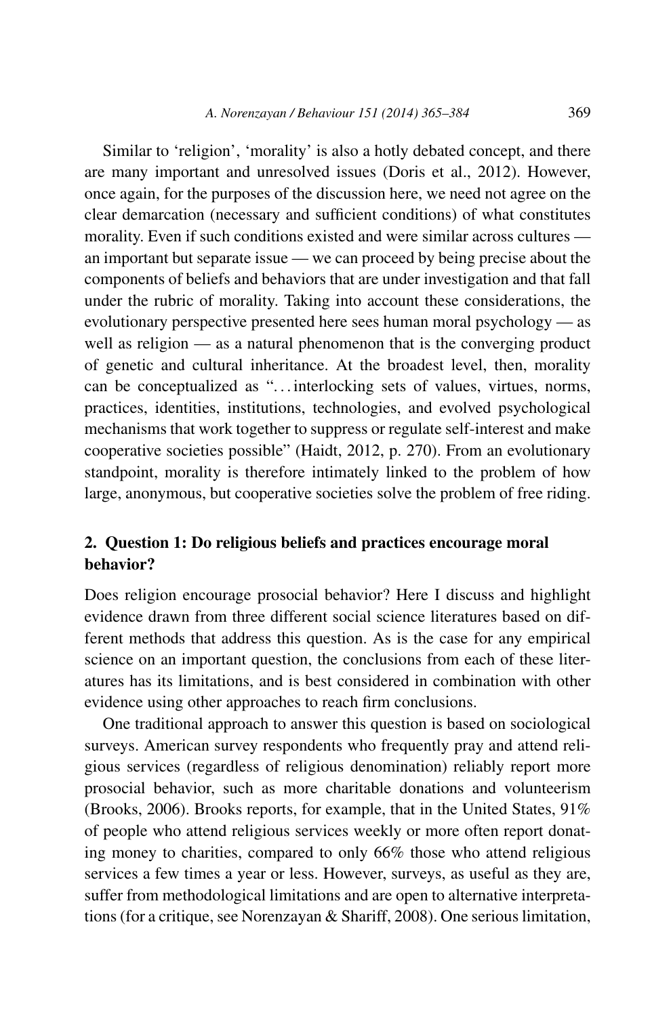Similar to 'religion', 'morality' is also a hotly debated concept, and there are many important and unresolved issues (Doris et al., 2012). However, once again, for the purposes of the discussion here, we need not agree on the clear demarcation (necessary and sufficient conditions) of what constitutes morality. Even if such conditions existed and were similar across cultures an important but separate issue — we can proceed by being precise about the components of beliefs and behaviors that are under investigation and that fall under the rubric of morality. Taking into account these considerations, the evolutionary perspective presented here sees human moral psychology — as well as religion — as a natural phenomenon that is the converging product of genetic and cultural inheritance. At the broadest level, then, morality can be conceptualized as "... interlocking sets of values, virtues, norms, practices, identities, institutions, technologies, and evolved psychological mechanisms that work together to suppress or regulate self-interest and make cooperative societies possible" (Haidt, 2012, p. 270). From an evolutionary standpoint, morality is therefore intimately linked to the problem of how large, anonymous, but cooperative societies solve the problem of free riding.

# **2. Question 1: Do religious beliefs and practices encourage moral behavior?**

Does religion encourage prosocial behavior? Here I discuss and highlight evidence drawn from three different social science literatures based on different methods that address this question. As is the case for any empirical science on an important question, the conclusions from each of these literatures has its limitations, and is best considered in combination with other evidence using other approaches to reach firm conclusions.

One traditional approach to answer this question is based on sociological surveys. American survey respondents who frequently pray and attend religious services (regardless of religious denomination) reliably report more prosocial behavior, such as more charitable donations and volunteerism (Brooks, 2006). Brooks reports, for example, that in the United States, 91% of people who attend religious services weekly or more often report donating money to charities, compared to only 66% those who attend religious services a few times a year or less. However, surveys, as useful as they are, suffer from methodological limitations and are open to alternative interpretations (for a critique, see Norenzayan & Shariff, 2008). One serious limitation,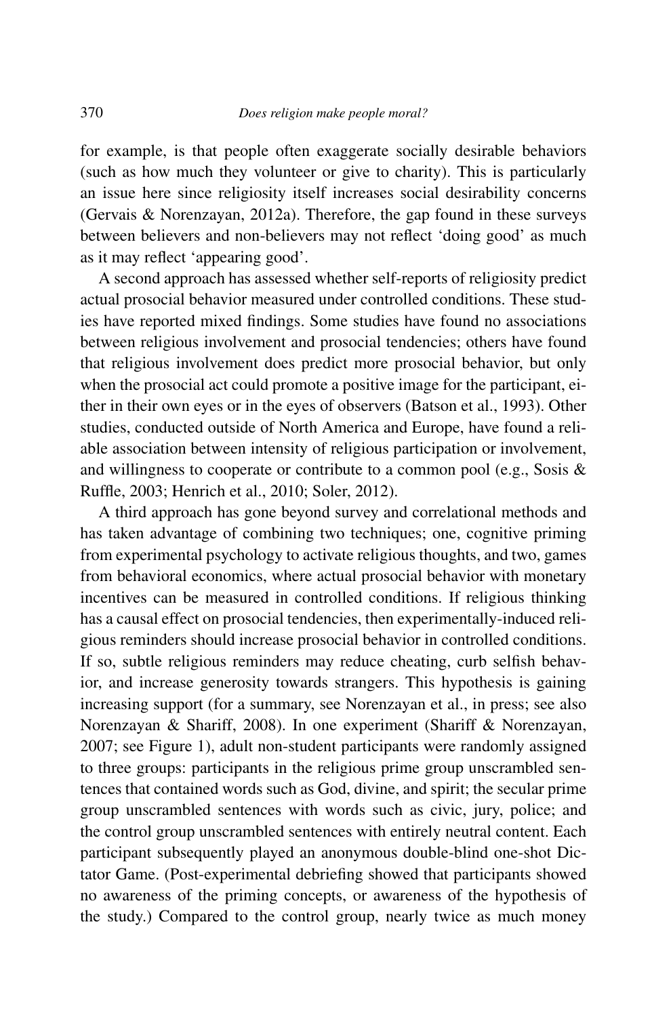for example, is that people often exaggerate socially desirable behaviors (such as how much they volunteer or give to charity). This is particularly an issue here since religiosity itself increases social desirability concerns (Gervais & Norenzayan, 2012a). Therefore, the gap found in these surveys between believers and non-believers may not reflect 'doing good' as much as it may reflect 'appearing good'.

A second approach has assessed whether self-reports of religiosity predict actual prosocial behavior measured under controlled conditions. These studies have reported mixed findings. Some studies have found no associations between religious involvement and prosocial tendencies; others have found that religious involvement does predict more prosocial behavior, but only when the prosocial act could promote a positive image for the participant, either in their own eyes or in the eyes of observers (Batson et al., 1993). Other studies, conducted outside of North America and Europe, have found a reliable association between intensity of religious participation or involvement, and willingness to cooperate or contribute to a common pool (e.g., Sosis  $\&$ Ruffle, 2003; Henrich et al., 2010; Soler, 2012).

A third approach has gone beyond survey and correlational methods and has taken advantage of combining two techniques; one, cognitive priming from experimental psychology to activate religious thoughts, and two, games from behavioral economics, where actual prosocial behavior with monetary incentives can be measured in controlled conditions. If religious thinking has a causal effect on prosocial tendencies, then experimentally-induced religious reminders should increase prosocial behavior in controlled conditions. If so, subtle religious reminders may reduce cheating, curb selfish behavior, and increase generosity towards strangers. This hypothesis is gaining increasing support (for a summary, see Norenzayan et al., in press; see also Norenzayan & Shariff, 2008). In one experiment (Shariff & Norenzayan, 2007; see Figure 1), adult non-student participants were randomly assigned to three groups: participants in the religious prime group unscrambled sentences that contained words such as God, divine, and spirit; the secular prime group unscrambled sentences with words such as civic, jury, police; and the control group unscrambled sentences with entirely neutral content. Each participant subsequently played an anonymous double-blind one-shot Dictator Game. (Post-experimental debriefing showed that participants showed no awareness of the priming concepts, or awareness of the hypothesis of the study.) Compared to the control group, nearly twice as much money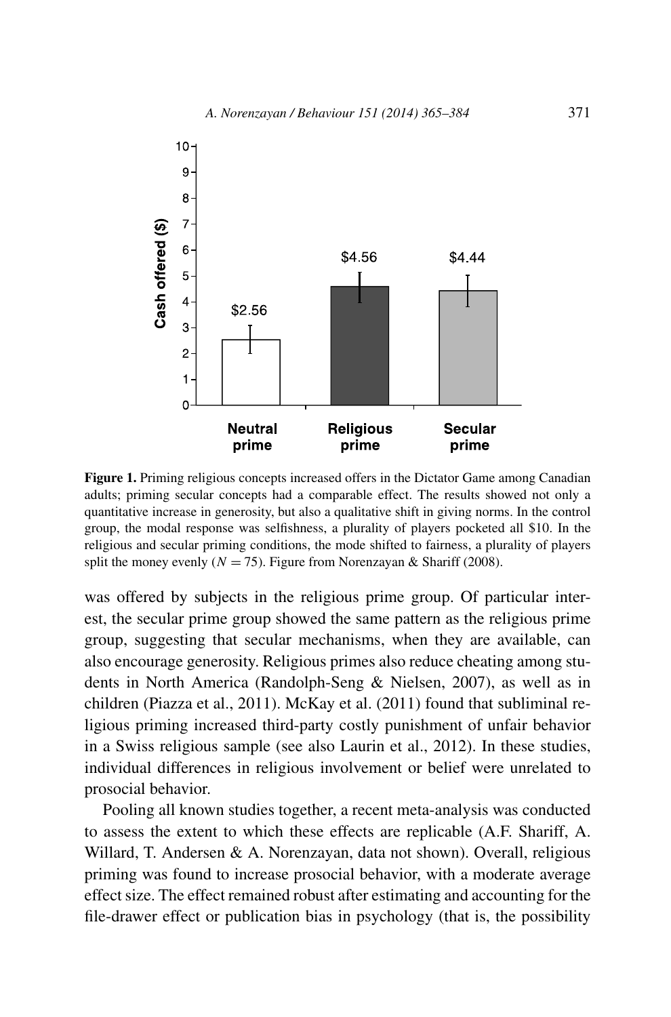

**Figure 1.** Priming religious concepts increased offers in the Dictator Game among Canadian adults; priming secular concepts had a comparable effect. The results showed not only a quantitative increase in generosity, but also a qualitative shift in giving norms. In the control group, the modal response was selfishness, a plurality of players pocketed all \$10. In the religious and secular priming conditions, the mode shifted to fairness, a plurality of players split the money evenly ( $N = 75$ ). Figure from Norenzayan & Shariff (2008).

was offered by subjects in the religious prime group. Of particular interest, the secular prime group showed the same pattern as the religious prime group, suggesting that secular mechanisms, when they are available, can also encourage generosity. Religious primes also reduce cheating among students in North America (Randolph-Seng & Nielsen, 2007), as well as in children (Piazza et al., 2011). McKay et al. (2011) found that subliminal religious priming increased third-party costly punishment of unfair behavior in a Swiss religious sample (see also Laurin et al., 2012). In these studies, individual differences in religious involvement or belief were unrelated to prosocial behavior.

Pooling all known studies together, a recent meta-analysis was conducted to assess the extent to which these effects are replicable (A.F. Shariff, A. Willard, T. Andersen & A. Norenzayan, data not shown). Overall, religious priming was found to increase prosocial behavior, with a moderate average effect size. The effect remained robust after estimating and accounting for the file-drawer effect or publication bias in psychology (that is, the possibility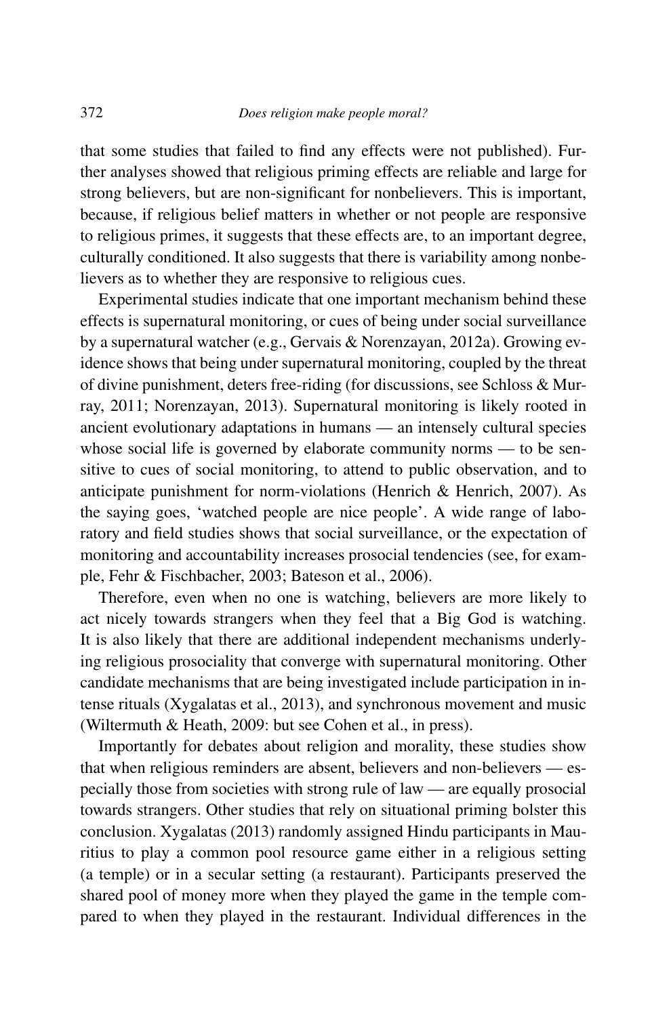that some studies that failed to find any effects were not published). Further analyses showed that religious priming effects are reliable and large for strong believers, but are non-significant for nonbelievers. This is important, because, if religious belief matters in whether or not people are responsive to religious primes, it suggests that these effects are, to an important degree, culturally conditioned. It also suggests that there is variability among nonbelievers as to whether they are responsive to religious cues.

Experimental studies indicate that one important mechanism behind these effects is supernatural monitoring, or cues of being under social surveillance by a supernatural watcher (e.g., Gervais & Norenzayan, 2012a). Growing evidence shows that being under supernatural monitoring, coupled by the threat of divine punishment, deters free-riding (for discussions, see Schloss & Murray, 2011; Norenzayan, 2013). Supernatural monitoring is likely rooted in ancient evolutionary adaptations in humans — an intensely cultural species whose social life is governed by elaborate community norms — to be sensitive to cues of social monitoring, to attend to public observation, and to anticipate punishment for norm-violations (Henrich & Henrich, 2007). As the saying goes, 'watched people are nice people'. A wide range of laboratory and field studies shows that social surveillance, or the expectation of monitoring and accountability increases prosocial tendencies (see, for example, Fehr & Fischbacher, 2003; Bateson et al., 2006).

Therefore, even when no one is watching, believers are more likely to act nicely towards strangers when they feel that a Big God is watching. It is also likely that there are additional independent mechanisms underlying religious prosociality that converge with supernatural monitoring. Other candidate mechanisms that are being investigated include participation in intense rituals (Xygalatas et al., 2013), and synchronous movement and music (Wiltermuth & Heath, 2009: but see Cohen et al., in press).

Importantly for debates about religion and morality, these studies show that when religious reminders are absent, believers and non-believers — especially those from societies with strong rule of law — are equally prosocial towards strangers. Other studies that rely on situational priming bolster this conclusion. Xygalatas (2013) randomly assigned Hindu participants in Mauritius to play a common pool resource game either in a religious setting (a temple) or in a secular setting (a restaurant). Participants preserved the shared pool of money more when they played the game in the temple compared to when they played in the restaurant. Individual differences in the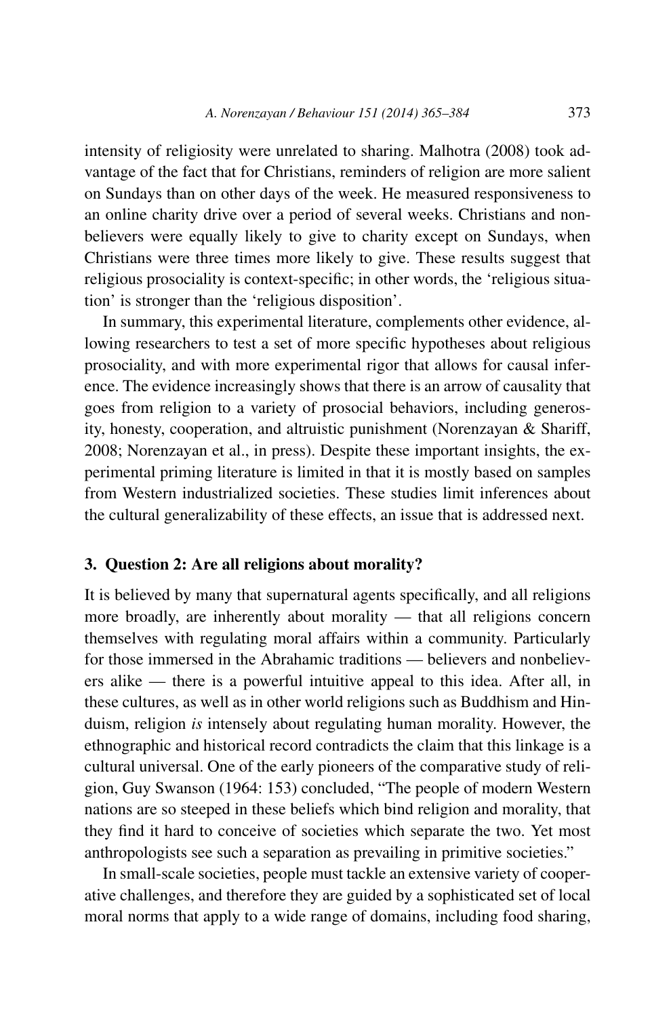intensity of religiosity were unrelated to sharing. Malhotra (2008) took advantage of the fact that for Christians, reminders of religion are more salient on Sundays than on other days of the week. He measured responsiveness to an online charity drive over a period of several weeks. Christians and nonbelievers were equally likely to give to charity except on Sundays, when Christians were three times more likely to give. These results suggest that religious prosociality is context-specific; in other words, the 'religious situation' is stronger than the 'religious disposition'.

In summary, this experimental literature, complements other evidence, allowing researchers to test a set of more specific hypotheses about religious prosociality, and with more experimental rigor that allows for causal inference. The evidence increasingly shows that there is an arrow of causality that goes from religion to a variety of prosocial behaviors, including generosity, honesty, cooperation, and altruistic punishment (Norenzayan & Shariff, 2008; Norenzayan et al., in press). Despite these important insights, the experimental priming literature is limited in that it is mostly based on samples from Western industrialized societies. These studies limit inferences about the cultural generalizability of these effects, an issue that is addressed next.

### **3. Question 2: Are all religions about morality?**

It is believed by many that supernatural agents specifically, and all religions more broadly, are inherently about morality — that all religions concern themselves with regulating moral affairs within a community. Particularly for those immersed in the Abrahamic traditions — believers and nonbelievers alike — there is a powerful intuitive appeal to this idea. After all, in these cultures, as well as in other world religions such as Buddhism and Hinduism, religion *is* intensely about regulating human morality. However, the ethnographic and historical record contradicts the claim that this linkage is a cultural universal. One of the early pioneers of the comparative study of religion, Guy Swanson (1964: 153) concluded, "The people of modern Western nations are so steeped in these beliefs which bind religion and morality, that they find it hard to conceive of societies which separate the two. Yet most anthropologists see such a separation as prevailing in primitive societies."

In small-scale societies, people must tackle an extensive variety of cooperative challenges, and therefore they are guided by a sophisticated set of local moral norms that apply to a wide range of domains, including food sharing,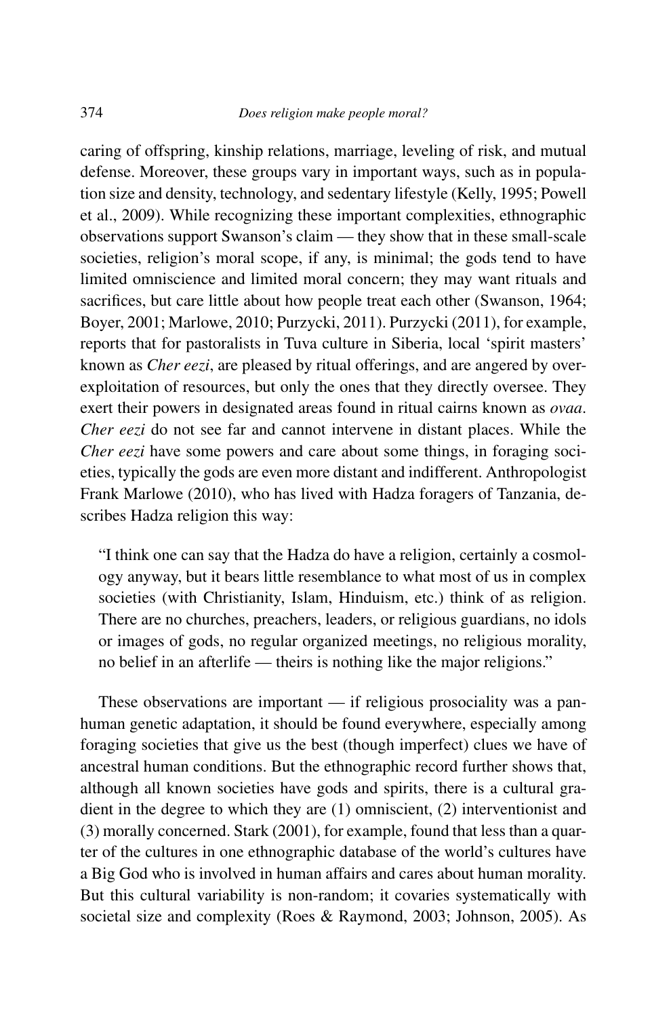caring of offspring, kinship relations, marriage, leveling of risk, and mutual defense. Moreover, these groups vary in important ways, such as in population size and density, technology, and sedentary lifestyle (Kelly, 1995; Powell et al., 2009). While recognizing these important complexities, ethnographic observations support Swanson's claim — they show that in these small-scale societies, religion's moral scope, if any, is minimal; the gods tend to have limited omniscience and limited moral concern; they may want rituals and sacrifices, but care little about how people treat each other (Swanson, 1964; Boyer, 2001; Marlowe, 2010; Purzycki, 2011). Purzycki (2011), for example, reports that for pastoralists in Tuva culture in Siberia, local 'spirit masters' known as *Cher eezi*, are pleased by ritual offerings, and are angered by overexploitation of resources, but only the ones that they directly oversee. They exert their powers in designated areas found in ritual cairns known as *ovaa*. *Cher eezi* do not see far and cannot intervene in distant places. While the *Cher eezi* have some powers and care about some things, in foraging societies, typically the gods are even more distant and indifferent. Anthropologist Frank Marlowe (2010), who has lived with Hadza foragers of Tanzania, describes Hadza religion this way:

"I think one can say that the Hadza do have a religion, certainly a cosmology anyway, but it bears little resemblance to what most of us in complex societies (with Christianity, Islam, Hinduism, etc.) think of as religion. There are no churches, preachers, leaders, or religious guardians, no idols or images of gods, no regular organized meetings, no religious morality, no belief in an afterlife — theirs is nothing like the major religions."

These observations are important — if religious prosociality was a panhuman genetic adaptation, it should be found everywhere, especially among foraging societies that give us the best (though imperfect) clues we have of ancestral human conditions. But the ethnographic record further shows that, although all known societies have gods and spirits, there is a cultural gradient in the degree to which they are (1) omniscient, (2) interventionist and (3) morally concerned. Stark (2001), for example, found that less than a quarter of the cultures in one ethnographic database of the world's cultures have a Big God who is involved in human affairs and cares about human morality. But this cultural variability is non-random; it covaries systematically with societal size and complexity (Roes & Raymond, 2003; Johnson, 2005). As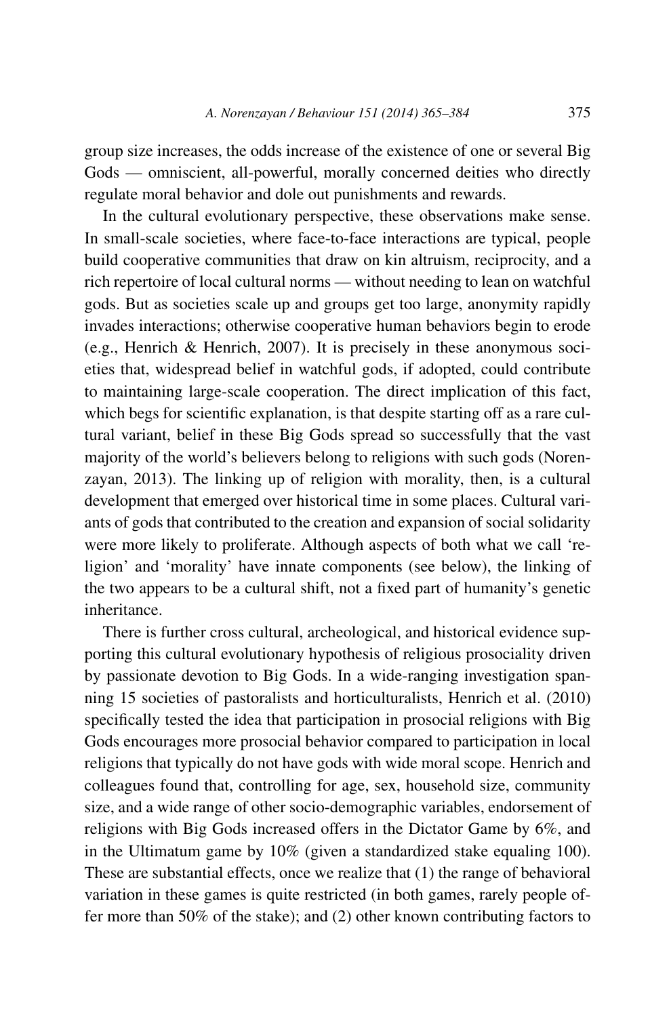group size increases, the odds increase of the existence of one or several Big Gods — omniscient, all-powerful, morally concerned deities who directly regulate moral behavior and dole out punishments and rewards.

In the cultural evolutionary perspective, these observations make sense. In small-scale societies, where face-to-face interactions are typical, people build cooperative communities that draw on kin altruism, reciprocity, and a rich repertoire of local cultural norms — without needing to lean on watchful gods. But as societies scale up and groups get too large, anonymity rapidly invades interactions; otherwise cooperative human behaviors begin to erode (e.g., Henrich & Henrich, 2007). It is precisely in these anonymous societies that, widespread belief in watchful gods, if adopted, could contribute to maintaining large-scale cooperation. The direct implication of this fact, which begs for scientific explanation, is that despite starting off as a rare cultural variant, belief in these Big Gods spread so successfully that the vast majority of the world's believers belong to religions with such gods (Norenzayan, 2013). The linking up of religion with morality, then, is a cultural development that emerged over historical time in some places. Cultural variants of gods that contributed to the creation and expansion of social solidarity were more likely to proliferate. Although aspects of both what we call 'religion' and 'morality' have innate components (see below), the linking of the two appears to be a cultural shift, not a fixed part of humanity's genetic inheritance.

There is further cross cultural, archeological, and historical evidence supporting this cultural evolutionary hypothesis of religious prosociality driven by passionate devotion to Big Gods. In a wide-ranging investigation spanning 15 societies of pastoralists and horticulturalists, Henrich et al. (2010) specifically tested the idea that participation in prosocial religions with Big Gods encourages more prosocial behavior compared to participation in local religions that typically do not have gods with wide moral scope. Henrich and colleagues found that, controlling for age, sex, household size, community size, and a wide range of other socio-demographic variables, endorsement of religions with Big Gods increased offers in the Dictator Game by 6%, and in the Ultimatum game by 10% (given a standardized stake equaling 100). These are substantial effects, once we realize that (1) the range of behavioral variation in these games is quite restricted (in both games, rarely people offer more than 50% of the stake); and (2) other known contributing factors to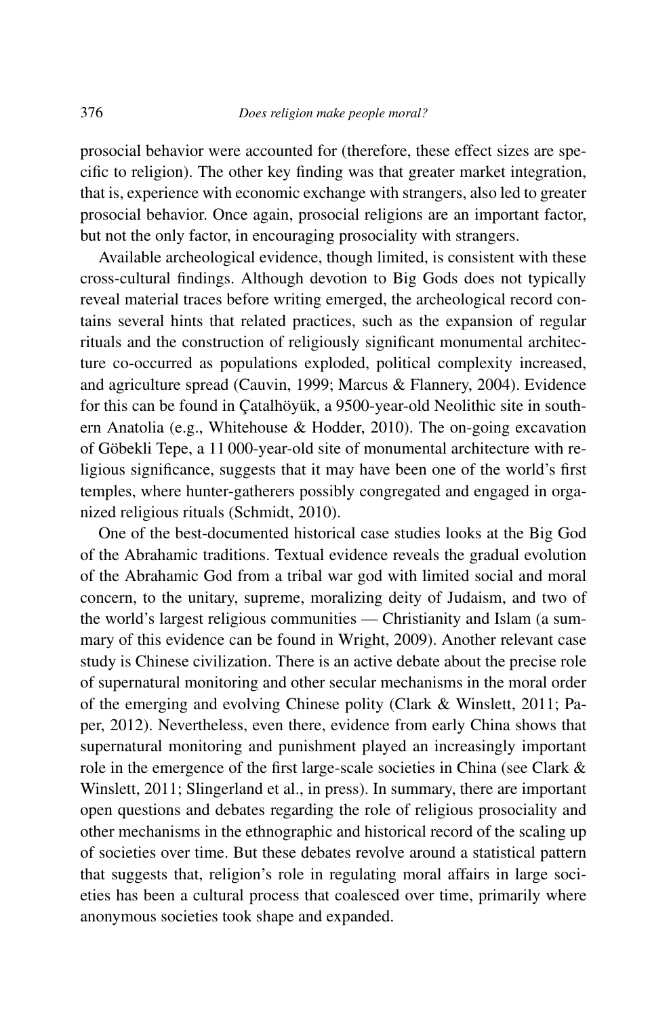prosocial behavior were accounted for (therefore, these effect sizes are specific to religion). The other key finding was that greater market integration, that is, experience with economic exchange with strangers, also led to greater prosocial behavior. Once again, prosocial religions are an important factor, but not the only factor, in encouraging prosociality with strangers.

Available archeological evidence, though limited, is consistent with these cross-cultural findings. Although devotion to Big Gods does not typically reveal material traces before writing emerged, the archeological record contains several hints that related practices, such as the expansion of regular rituals and the construction of religiously significant monumental architecture co-occurred as populations exploded, political complexity increased, and agriculture spread (Cauvin, 1999; Marcus & Flannery, 2004). Evidence for this can be found in Çatalhöyük, a 9500-year-old Neolithic site in southern Anatolia (e.g., Whitehouse & Hodder, 2010). The on-going excavation of Göbekli Tepe, a 11 000-year-old site of monumental architecture with religious significance, suggests that it may have been one of the world's first temples, where hunter-gatherers possibly congregated and engaged in organized religious rituals (Schmidt, 2010).

One of the best-documented historical case studies looks at the Big God of the Abrahamic traditions. Textual evidence reveals the gradual evolution of the Abrahamic God from a tribal war god with limited social and moral concern, to the unitary, supreme, moralizing deity of Judaism, and two of the world's largest religious communities — Christianity and Islam (a summary of this evidence can be found in Wright, 2009). Another relevant case study is Chinese civilization. There is an active debate about the precise role of supernatural monitoring and other secular mechanisms in the moral order of the emerging and evolving Chinese polity (Clark & Winslett, 2011; Paper, 2012). Nevertheless, even there, evidence from early China shows that supernatural monitoring and punishment played an increasingly important role in the emergence of the first large-scale societies in China (see Clark & Winslett, 2011; Slingerland et al., in press). In summary, there are important open questions and debates regarding the role of religious prosociality and other mechanisms in the ethnographic and historical record of the scaling up of societies over time. But these debates revolve around a statistical pattern that suggests that, religion's role in regulating moral affairs in large societies has been a cultural process that coalesced over time, primarily where anonymous societies took shape and expanded.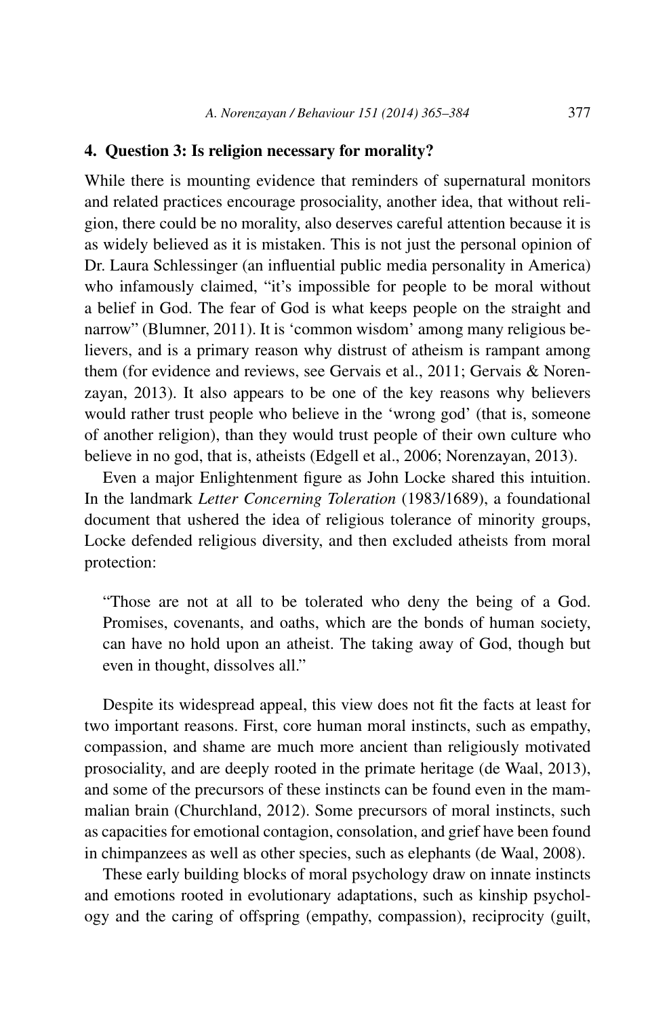### **4. Question 3: Is religion necessary for morality?**

While there is mounting evidence that reminders of supernatural monitors and related practices encourage prosociality, another idea, that without religion, there could be no morality, also deserves careful attention because it is as widely believed as it is mistaken. This is not just the personal opinion of Dr. Laura Schlessinger (an influential public media personality in America) who infamously claimed, "it's impossible for people to be moral without a belief in God. The fear of God is what keeps people on the straight and narrow" (Blumner, 2011). It is 'common wisdom' among many religious believers, and is a primary reason why distrust of atheism is rampant among them (for evidence and reviews, see Gervais et al., 2011; Gervais & Norenzayan, 2013). It also appears to be one of the key reasons why believers would rather trust people who believe in the 'wrong god' (that is, someone of another religion), than they would trust people of their own culture who believe in no god, that is, atheists (Edgell et al., 2006; Norenzayan, 2013).

Even a major Enlightenment figure as John Locke shared this intuition. In the landmark *Letter Concerning Toleration* (1983/1689), a foundational document that ushered the idea of religious tolerance of minority groups, Locke defended religious diversity, and then excluded atheists from moral protection:

"Those are not at all to be tolerated who deny the being of a God. Promises, covenants, and oaths, which are the bonds of human society, can have no hold upon an atheist. The taking away of God, though but even in thought, dissolves all."

Despite its widespread appeal, this view does not fit the facts at least for two important reasons. First, core human moral instincts, such as empathy, compassion, and shame are much more ancient than religiously motivated prosociality, and are deeply rooted in the primate heritage (de Waal, 2013), and some of the precursors of these instincts can be found even in the mammalian brain (Churchland, 2012). Some precursors of moral instincts, such as capacities for emotional contagion, consolation, and grief have been found in chimpanzees as well as other species, such as elephants (de Waal, 2008).

These early building blocks of moral psychology draw on innate instincts and emotions rooted in evolutionary adaptations, such as kinship psychology and the caring of offspring (empathy, compassion), reciprocity (guilt,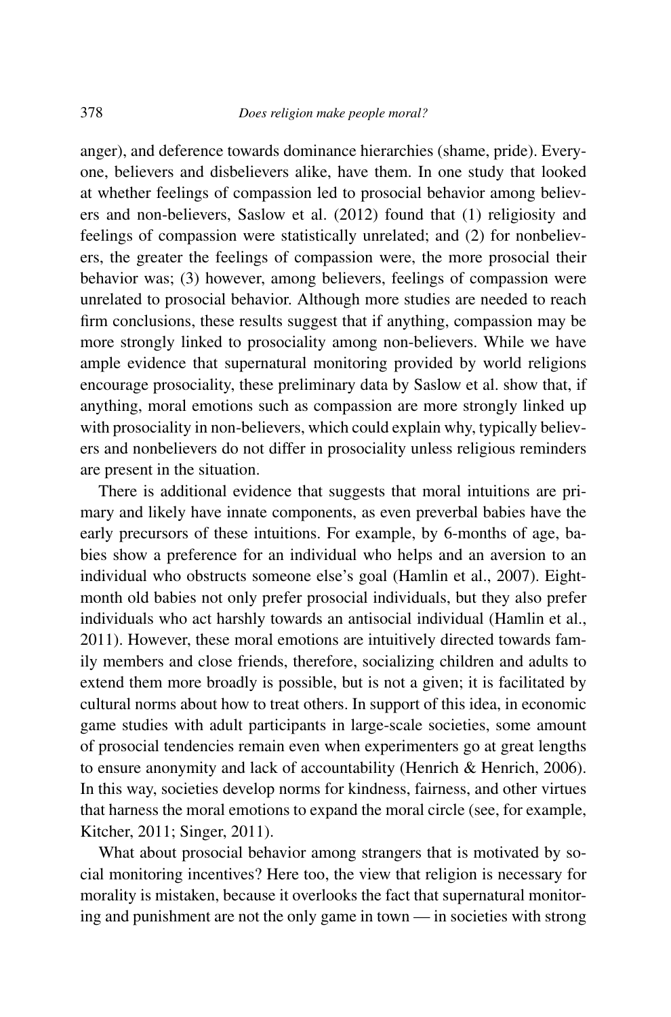anger), and deference towards dominance hierarchies (shame, pride). Everyone, believers and disbelievers alike, have them. In one study that looked at whether feelings of compassion led to prosocial behavior among believers and non-believers, Saslow et al. (2012) found that (1) religiosity and feelings of compassion were statistically unrelated; and (2) for nonbelievers, the greater the feelings of compassion were, the more prosocial their behavior was; (3) however, among believers, feelings of compassion were unrelated to prosocial behavior. Although more studies are needed to reach firm conclusions, these results suggest that if anything, compassion may be more strongly linked to prosociality among non-believers. While we have ample evidence that supernatural monitoring provided by world religions encourage prosociality, these preliminary data by Saslow et al. show that, if anything, moral emotions such as compassion are more strongly linked up with prosociality in non-believers, which could explain why, typically believers and nonbelievers do not differ in prosociality unless religious reminders are present in the situation.

There is additional evidence that suggests that moral intuitions are primary and likely have innate components, as even preverbal babies have the early precursors of these intuitions. For example, by 6-months of age, babies show a preference for an individual who helps and an aversion to an individual who obstructs someone else's goal (Hamlin et al., 2007). Eightmonth old babies not only prefer prosocial individuals, but they also prefer individuals who act harshly towards an antisocial individual (Hamlin et al., 2011). However, these moral emotions are intuitively directed towards family members and close friends, therefore, socializing children and adults to extend them more broadly is possible, but is not a given; it is facilitated by cultural norms about how to treat others. In support of this idea, in economic game studies with adult participants in large-scale societies, some amount of prosocial tendencies remain even when experimenters go at great lengths to ensure anonymity and lack of accountability (Henrich & Henrich, 2006). In this way, societies develop norms for kindness, fairness, and other virtues that harness the moral emotions to expand the moral circle (see, for example, Kitcher, 2011; Singer, 2011).

What about prosocial behavior among strangers that is motivated by social monitoring incentives? Here too, the view that religion is necessary for morality is mistaken, because it overlooks the fact that supernatural monitoring and punishment are not the only game in town — in societies with strong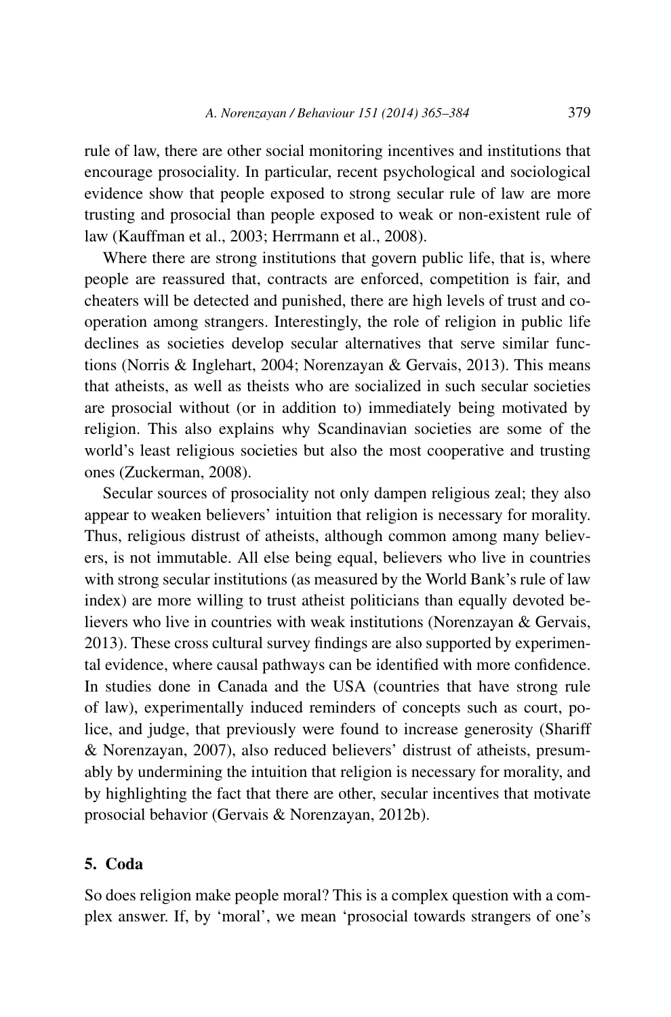rule of law, there are other social monitoring incentives and institutions that encourage prosociality. In particular, recent psychological and sociological evidence show that people exposed to strong secular rule of law are more trusting and prosocial than people exposed to weak or non-existent rule of law (Kauffman et al., 2003; Herrmann et al., 2008).

Where there are strong institutions that govern public life, that is, where people are reassured that, contracts are enforced, competition is fair, and cheaters will be detected and punished, there are high levels of trust and cooperation among strangers. Interestingly, the role of religion in public life declines as societies develop secular alternatives that serve similar functions (Norris & Inglehart, 2004; Norenzayan & Gervais, 2013). This means that atheists, as well as theists who are socialized in such secular societies are prosocial without (or in addition to) immediately being motivated by religion. This also explains why Scandinavian societies are some of the world's least religious societies but also the most cooperative and trusting ones (Zuckerman, 2008).

Secular sources of prosociality not only dampen religious zeal; they also appear to weaken believers' intuition that religion is necessary for morality. Thus, religious distrust of atheists, although common among many believers, is not immutable. All else being equal, believers who live in countries with strong secular institutions (as measured by the World Bank's rule of law index) are more willing to trust atheist politicians than equally devoted believers who live in countries with weak institutions (Norenzayan & Gervais, 2013). These cross cultural survey findings are also supported by experimental evidence, where causal pathways can be identified with more confidence. In studies done in Canada and the USA (countries that have strong rule of law), experimentally induced reminders of concepts such as court, police, and judge, that previously were found to increase generosity (Shariff & Norenzayan, 2007), also reduced believers' distrust of atheists, presumably by undermining the intuition that religion is necessary for morality, and by highlighting the fact that there are other, secular incentives that motivate prosocial behavior (Gervais & Norenzayan, 2012b).

## **5. Coda**

So does religion make people moral? This is a complex question with a complex answer. If, by 'moral', we mean 'prosocial towards strangers of one's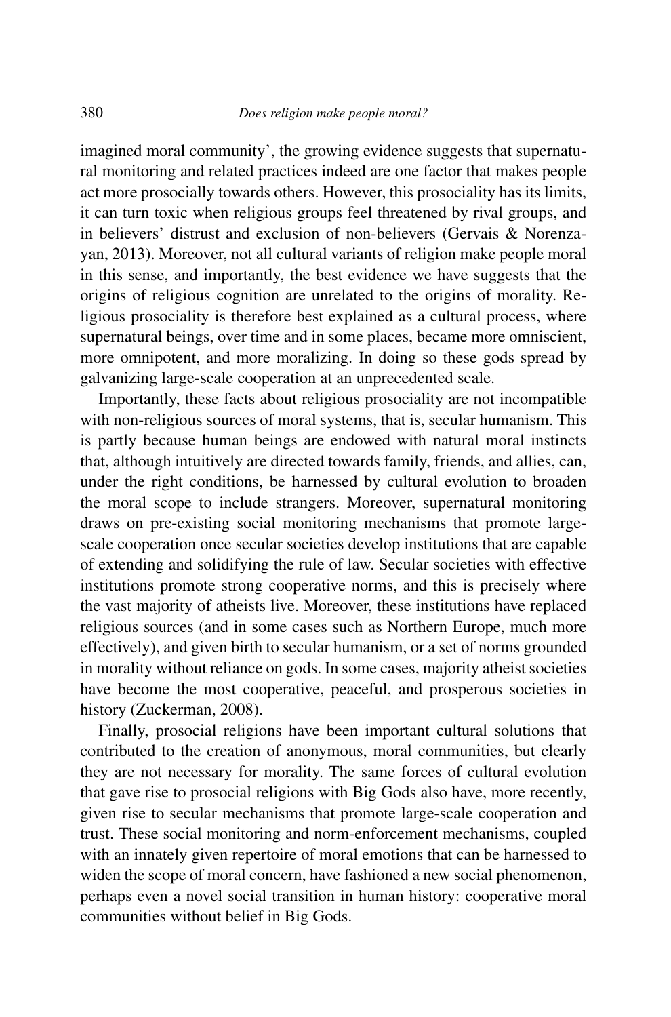imagined moral community', the growing evidence suggests that supernatural monitoring and related practices indeed are one factor that makes people act more prosocially towards others. However, this prosociality has its limits, it can turn toxic when religious groups feel threatened by rival groups, and in believers' distrust and exclusion of non-believers (Gervais & Norenzayan, 2013). Moreover, not all cultural variants of religion make people moral in this sense, and importantly, the best evidence we have suggests that the origins of religious cognition are unrelated to the origins of morality. Religious prosociality is therefore best explained as a cultural process, where supernatural beings, over time and in some places, became more omniscient, more omnipotent, and more moralizing. In doing so these gods spread by galvanizing large-scale cooperation at an unprecedented scale.

Importantly, these facts about religious prosociality are not incompatible with non-religious sources of moral systems, that is, secular humanism. This is partly because human beings are endowed with natural moral instincts that, although intuitively are directed towards family, friends, and allies, can, under the right conditions, be harnessed by cultural evolution to broaden the moral scope to include strangers. Moreover, supernatural monitoring draws on pre-existing social monitoring mechanisms that promote largescale cooperation once secular societies develop institutions that are capable of extending and solidifying the rule of law. Secular societies with effective institutions promote strong cooperative norms, and this is precisely where the vast majority of atheists live. Moreover, these institutions have replaced religious sources (and in some cases such as Northern Europe, much more effectively), and given birth to secular humanism, or a set of norms grounded in morality without reliance on gods. In some cases, majority atheist societies have become the most cooperative, peaceful, and prosperous societies in history (Zuckerman, 2008).

Finally, prosocial religions have been important cultural solutions that contributed to the creation of anonymous, moral communities, but clearly they are not necessary for morality. The same forces of cultural evolution that gave rise to prosocial religions with Big Gods also have, more recently, given rise to secular mechanisms that promote large-scale cooperation and trust. These social monitoring and norm-enforcement mechanisms, coupled with an innately given repertoire of moral emotions that can be harnessed to widen the scope of moral concern, have fashioned a new social phenomenon, perhaps even a novel social transition in human history: cooperative moral communities without belief in Big Gods.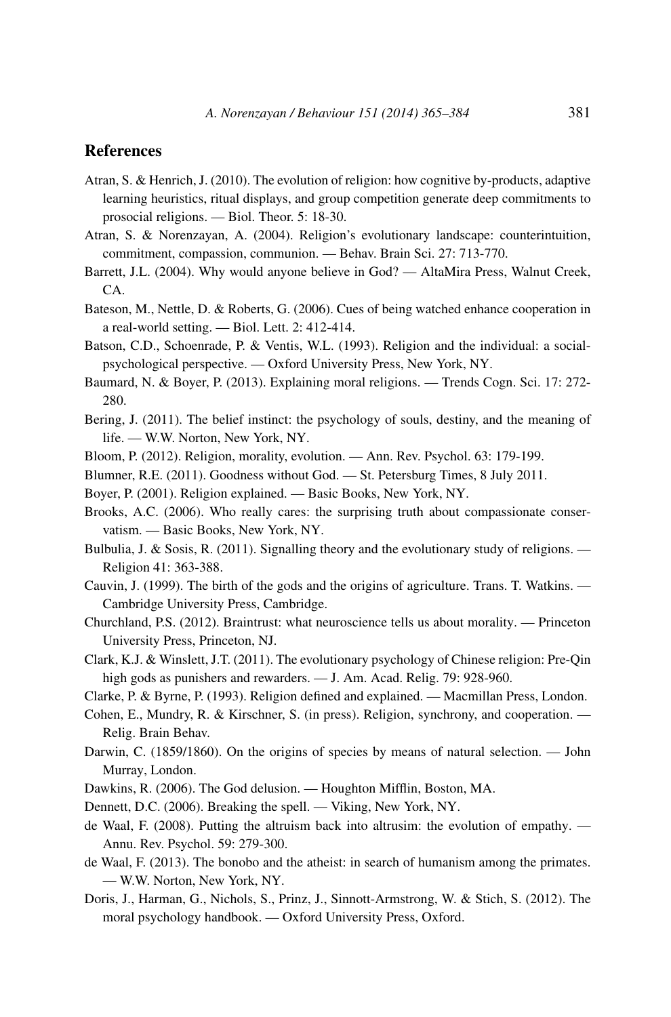### **References**

- Atran, S. & Henrich, J. (2010). The evolution of religion: how cognitive by-products, adaptive learning heuristics, ritual displays, and group competition generate deep commitments to prosocial religions. — Biol. Theor. 5: 18-30.
- Atran, S. & Norenzayan, A. (2004). Religion's evolutionary landscape: counterintuition, commitment, compassion, communion. — Behav. Brain Sci. 27: 713-770.
- Barrett, J.L. (2004). Why would anyone believe in God? AltaMira Press, Walnut Creek, CA.
- Bateson, M., Nettle, D. & Roberts, G. (2006). Cues of being watched enhance cooperation in a real-world setting. — Biol. Lett. 2: 412-414.
- Batson, C.D., Schoenrade, P. & Ventis, W.L. (1993). Religion and the individual: a socialpsychological perspective. — Oxford University Press, New York, NY.
- Baumard, N. & Boyer, P. (2013). Explaining moral religions. Trends Cogn. Sci. 17: 272- 280.
- Bering, J. (2011). The belief instinct: the psychology of souls, destiny, and the meaning of life. — W.W. Norton, New York, NY.
- Bloom, P. (2012). Religion, morality, evolution. Ann. Rev. Psychol. 63: 179-199.
- Blumner, R.E. (2011). Goodness without God. St. Petersburg Times, 8 July 2011.
- Boyer, P. (2001). Religion explained. Basic Books, New York, NY.
- Brooks, A.C. (2006). Who really cares: the surprising truth about compassionate conservatism. — Basic Books, New York, NY.
- Bulbulia, J. & Sosis, R.  $(2011)$ . Signalling theory and the evolutionary study of religions. Religion 41: 363-388.
- Cauvin, J. (1999). The birth of the gods and the origins of agriculture. Trans. T. Watkins. Cambridge University Press, Cambridge.
- Churchland, P.S. (2012). Braintrust: what neuroscience tells us about morality. Princeton University Press, Princeton, NJ.
- Clark, K.J. & Winslett, J.T. (2011). The evolutionary psychology of Chinese religion: Pre-Qin high gods as punishers and rewarders. — J. Am. Acad. Relig. 79: 928-960.
- Clarke, P. & Byrne, P. (1993). Religion defined and explained. Macmillan Press, London.
- Cohen, E., Mundry, R. & Kirschner, S. (in press). Religion, synchrony, and cooperation. Relig. Brain Behav.
- Darwin, C. (1859/1860). On the origins of species by means of natural selection. John Murray, London.
- Dawkins, R. (2006). The God delusion. Houghton Mifflin, Boston, MA.
- Dennett, D.C. (2006). Breaking the spell. Viking, New York, NY.
- de Waal, F. (2008). Putting the altruism back into altrusim: the evolution of empathy. Annu. Rev. Psychol. 59: 279-300.
- de Waal, F. (2013). The bonobo and the atheist: in search of humanism among the primates. — W.W. Norton, New York, NY.
- Doris, J., Harman, G., Nichols, S., Prinz, J., Sinnott-Armstrong, W. & Stich, S. (2012). The moral psychology handbook. — Oxford University Press, Oxford.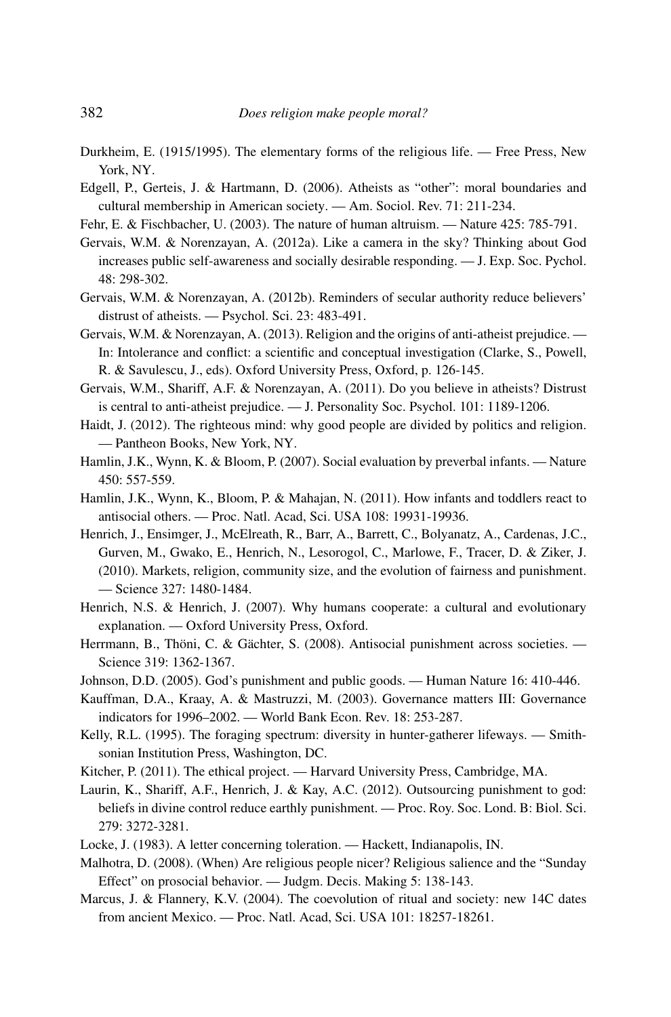- Durkheim, E. (1915/1995). The elementary forms of the religious life. Free Press, New York, NY.
- Edgell, P., Gerteis, J. & Hartmann, D. (2006). Atheists as "other": moral boundaries and cultural membership in American society. — Am. Sociol. Rev. 71: 211-234.
- Fehr, E. & Fischbacher, U. (2003). The nature of human altruism. Nature 425: 785-791.
- Gervais, W.M. & Norenzayan, A. (2012a). Like a camera in the sky? Thinking about God increases public self-awareness and socially desirable responding. — J. Exp. Soc. Pychol. 48: 298-302.
- Gervais, W.M. & Norenzayan, A. (2012b). Reminders of secular authority reduce believers' distrust of atheists. — Psychol. Sci. 23: 483-491.
- Gervais, W.M. & Norenzayan, A. (2013). Religion and the origins of anti-atheist prejudice. In: Intolerance and conflict: a scientific and conceptual investigation (Clarke, S., Powell, R. & Savulescu, J., eds). Oxford University Press, Oxford, p. 126-145.
- Gervais, W.M., Shariff, A.F. & Norenzayan, A. (2011). Do you believe in atheists? Distrust is central to anti-atheist prejudice. — J. Personality Soc. Psychol. 101: 1189-1206.
- Haidt, J. (2012). The righteous mind: why good people are divided by politics and religion. — Pantheon Books, New York, NY.
- Hamlin, J.K., Wynn, K. & Bloom, P. (2007). Social evaluation by preverbal infants. Nature 450: 557-559.
- Hamlin, J.K., Wynn, K., Bloom, P. & Mahajan, N. (2011). How infants and toddlers react to antisocial others. — Proc. Natl. Acad, Sci. USA 108: 19931-19936.
- Henrich, J., Ensimger, J., McElreath, R., Barr, A., Barrett, C., Bolyanatz, A., Cardenas, J.C., Gurven, M., Gwako, E., Henrich, N., Lesorogol, C., Marlowe, F., Tracer, D. & Ziker, J. (2010). Markets, religion, community size, and the evolution of fairness and punishment. — Science 327: 1480-1484.
- Henrich, N.S. & Henrich, J. (2007). Why humans cooperate: a cultural and evolutionary explanation. — Oxford University Press, Oxford.
- Herrmann, B., Thöni, C. & Gächter, S. (2008). Antisocial punishment across societies. Science 319: 1362-1367.
- Johnson, D.D. (2005). God's punishment and public goods. Human Nature 16: 410-446.
- Kauffman, D.A., Kraay, A. & Mastruzzi, M. (2003). Governance matters III: Governance indicators for 1996–2002. — World Bank Econ. Rev. 18: 253-287.
- Kelly, R.L. (1995). The foraging spectrum: diversity in hunter-gatherer lifeways. Smithsonian Institution Press, Washington, DC.
- Kitcher, P. (2011). The ethical project. Harvard University Press, Cambridge, MA.
- Laurin, K., Shariff, A.F., Henrich, J. & Kay, A.C. (2012). Outsourcing punishment to god: beliefs in divine control reduce earthly punishment. — Proc. Roy. Soc. Lond. B: Biol. Sci. 279: 3272-3281.
- Locke, J. (1983). A letter concerning toleration. Hackett, Indianapolis, IN.
- Malhotra, D. (2008). (When) Are religious people nicer? Religious salience and the "Sunday Effect" on prosocial behavior. — Judgm. Decis. Making 5: 138-143.
- Marcus, J. & Flannery, K.V. (2004). The coevolution of ritual and society: new 14C dates from ancient Mexico. — Proc. Natl. Acad, Sci. USA 101: 18257-18261.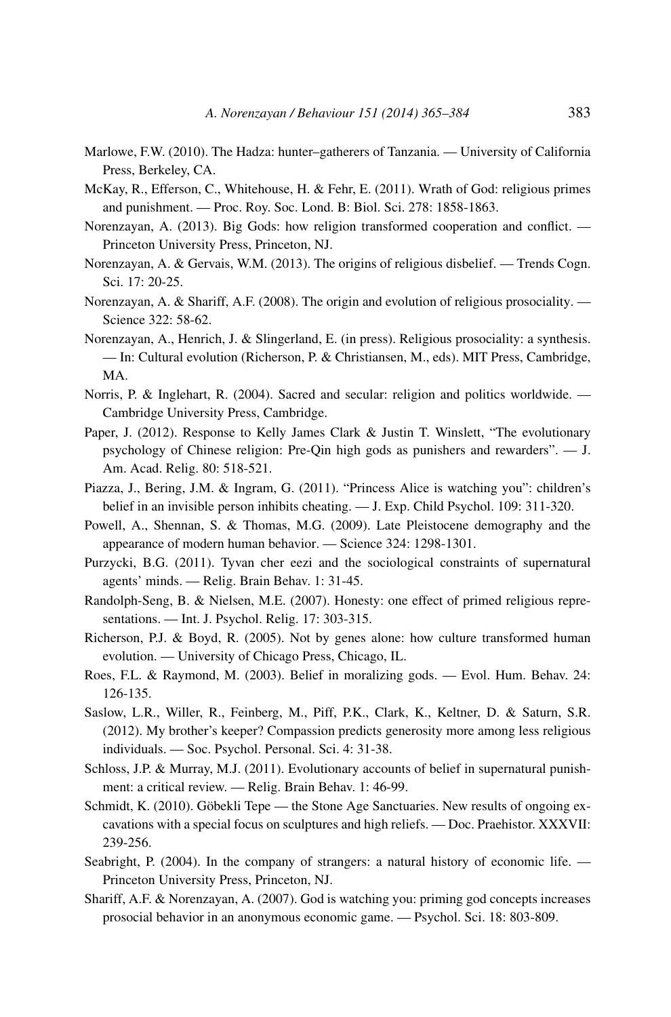- Marlowe, F.W. (2010). The Hadza: hunter–gatherers of Tanzania. University of California Press, Berkeley, CA.
- McKay, R., Efferson, C., Whitehouse, H. & Fehr, E. (2011). Wrath of God: religious primes and punishment. — Proc. Roy. Soc. Lond. B: Biol. Sci. 278: 1858-1863.
- Norenzayan, A. (2013). Big Gods: how religion transformed cooperation and conflict. Princeton University Press, Princeton, NJ.
- Norenzayan, A. & Gervais, W.M. (2013). The origins of religious disbelief. Trends Cogn. Sci. 17: 20-25.
- Norenzayan, A. & Shariff, A.F. (2008). The origin and evolution of religious prosociality. Science 322: 58-62.
- Norenzayan, A., Henrich, J. & Slingerland, E. (in press). Religious prosociality: a synthesis. — In: Cultural evolution (Richerson, P. & Christiansen, M., eds). MIT Press, Cambridge, MA.
- Norris, P. & Inglehart, R. (2004). Sacred and secular: religion and politics worldwide. Cambridge University Press, Cambridge.
- Paper, J. (2012). Response to Kelly James Clark & Justin T. Winslett, "The evolutionary psychology of Chinese religion: Pre-Qin high gods as punishers and rewarders". — J. Am. Acad. Relig. 80: 518-521.
- Piazza, J., Bering, J.M. & Ingram, G. (2011). "Princess Alice is watching you": children's belief in an invisible person inhibits cheating. — J. Exp. Child Psychol. 109: 311-320.
- Powell, A., Shennan, S. & Thomas, M.G. (2009). Late Pleistocene demography and the appearance of modern human behavior. — Science 324: 1298-1301.
- Purzycki, B.G. (2011). Tyvan cher eezi and the sociological constraints of supernatural agents' minds. — Relig. Brain Behav. 1: 31-45.
- Randolph-Seng, B. & Nielsen, M.E. (2007). Honesty: one effect of primed religious representations. — Int. J. Psychol. Relig. 17: 303-315.
- Richerson, P.J. & Boyd, R. (2005). Not by genes alone: how culture transformed human evolution. — University of Chicago Press, Chicago, IL.
- Roes, F.L. & Raymond, M. (2003). Belief in moralizing gods. Evol. Hum. Behav. 24: 126-135.
- Saslow, L.R., Willer, R., Feinberg, M., Piff, P.K., Clark, K., Keltner, D. & Saturn, S.R. (2012). My brother's keeper? Compassion predicts generosity more among less religious individuals. — Soc. Psychol. Personal. Sci. 4: 31-38.
- Schloss, J.P. & Murray, M.J. (2011). Evolutionary accounts of belief in supernatural punishment: a critical review. — Relig. Brain Behav. 1: 46-99.
- Schmidt, K. (2010). Göbekli Tepe the Stone Age Sanctuaries. New results of ongoing excavations with a special focus on sculptures and high reliefs. — Doc. Praehistor. XXXVII: 239-256.
- Seabright, P. (2004). In the company of strangers: a natural history of economic life. Princeton University Press, Princeton, NJ.
- Shariff, A.F. & Norenzayan, A. (2007). God is watching you: priming god concepts increases prosocial behavior in an anonymous economic game. — Psychol. Sci. 18: 803-809.